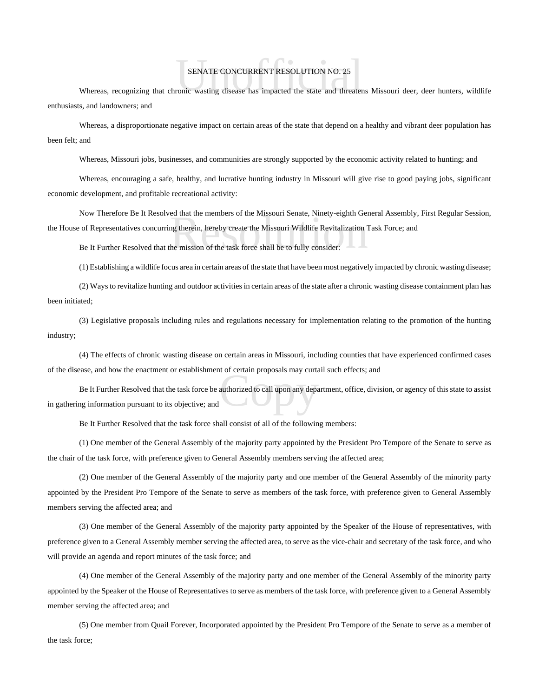## SENATE CONCURRENT RESOLUTION NO. 25

SENATE CONCURRENT RESOLUTION NO. 25<br>Whereas, recognizing that chronic wasting disease has impacted the state and threatens Missouri deer, deer hunters, wildlife enthusiasts, and landowners; and

Whereas, a disproportionate negative impact on certain areas of the state that depend on a healthy and vibrant deer population has been felt; and

Whereas, Missouri jobs, businesses, and communities are strongly supported by the economic activity related to hunting; and

Whereas, encouraging a safe, healthy, and lucrative hunting industry in Missouri will give rise to good paying jobs, significant economic development, and profitable recreational activity:

ed that the members of the Missouri Senate, Ninety-eighth Gen<br>ng therein, hereby create the Missouri Wildlife Revitalization<br>The mission of the task force shall be to fully consider: Now Therefore Be It Resolved that the members of the Missouri Senate, Ninety-eighth General Assembly, First Regular Session, the House of Representatives concurring therein, hereby create the Missouri Wildlife Revitalization Task Force; and

Be It Further Resolved that the mission of the task force shall be to fully consider:

(1) Establishing a wildlife focus area in certain areas of the state that have been most negatively impacted by chronic wasting disease;

(2) Ways to revitalize hunting and outdoor activities in certain areas of the state after a chronic wasting disease containment plan has been initiated;

(3) Legislative proposals including rules and regulations necessary for implementation relating to the promotion of the hunting industry;

(4) The effects of chronic wasting disease on certain areas in Missouri, including counties that have experienced confirmed cases of the disease, and how the enactment or establishment of certain proposals may curtail such effects; and

t or certain proposais may curta<br>authorized to call upon any departed Be It Further Resolved that the task force be authorized to call upon any department, office, division, or agency of this state to assist in gathering information pursuant to its objective; and

Be It Further Resolved that the task force shall consist of all of the following members:

(1) One member of the General Assembly of the majority party appointed by the President Pro Tempore of the Senate to serve as the chair of the task force, with preference given to General Assembly members serving the affected area;

(2) One member of the General Assembly of the majority party and one member of the General Assembly of the minority party appointed by the President Pro Tempore of the Senate to serve as members of the task force, with preference given to General Assembly members serving the affected area; and

(3) One member of the General Assembly of the majority party appointed by the Speaker of the House of representatives, with preference given to a General Assembly member serving the affected area, to serve as the vice-chair and secretary of the task force, and who will provide an agenda and report minutes of the task force; and

(4) One member of the General Assembly of the majority party and one member of the General Assembly of the minority party appointed by the Speaker of the House of Representatives to serve as members of the task force, with preference given to a General Assembly member serving the affected area; and

(5) One member from Quail Forever, Incorporated appointed by the President Pro Tempore of the Senate to serve as a member of the task force;